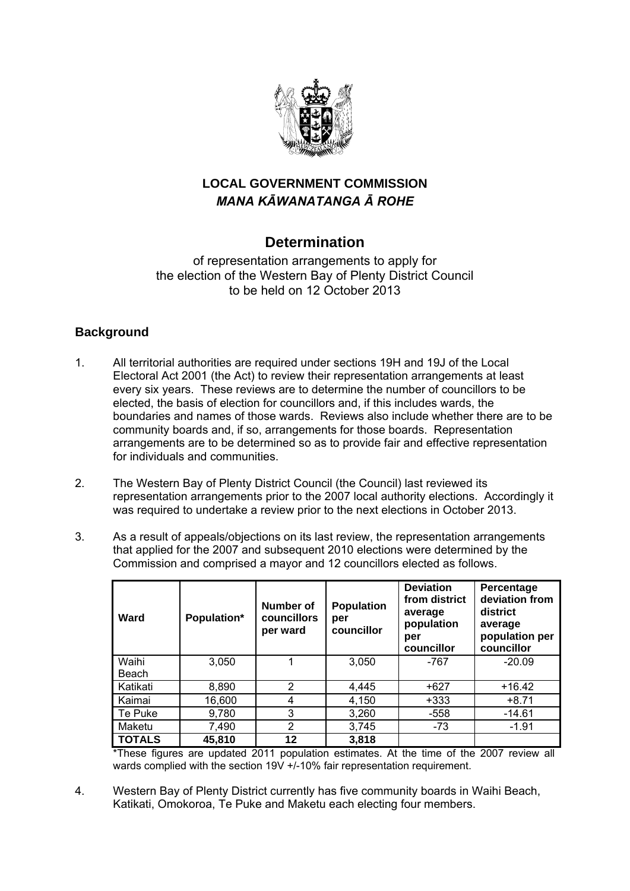

# **LOCAL GOVERNMENT COMMISSION**  *MANA KĀWANATANGA Ā ROHE*

# **Determination**

of representation arrangements to apply for the election of the Western Bay of Plenty District Council to be held on 12 October 2013

## **Background**

- 1. All territorial authorities are required under sections 19H and 19J of the Local Electoral Act 2001 (the Act) to review their representation arrangements at least every six years. These reviews are to determine the number of councillors to be elected, the basis of election for councillors and, if this includes wards, the boundaries and names of those wards. Reviews also include whether there are to be community boards and, if so, arrangements for those boards. Representation arrangements are to be determined so as to provide fair and effective representation for individuals and communities.
- 2. The Western Bay of Plenty District Council (the Council) last reviewed its representation arrangements prior to the 2007 local authority elections. Accordingly it was required to undertake a review prior to the next elections in October 2013.
- 3. As a result of appeals/objections on its last review, the representation arrangements that applied for the 2007 and subsequent 2010 elections were determined by the Commission and comprised a mayor and 12 councillors elected as follows.

| Ward          | Population* | Number of<br><b>councillors</b><br>per ward | <b>Population</b><br>per<br>councillor | <b>Deviation</b><br>from district<br>average<br>population<br>per<br>councillor | Percentage<br>deviation from<br>district<br>average<br>population per<br>councillor |
|---------------|-------------|---------------------------------------------|----------------------------------------|---------------------------------------------------------------------------------|-------------------------------------------------------------------------------------|
| Waihi         | 3,050       |                                             | 3,050                                  | -767                                                                            | $-20.09$                                                                            |
| Beach         |             |                                             |                                        |                                                                                 |                                                                                     |
| Katikati      | 8,890       | 2                                           | 4,445                                  | $+627$                                                                          | $+16.42$                                                                            |
| Kaimai        | 16,600      | 4                                           | 4,150                                  | $+333$                                                                          | $+8.71$                                                                             |
| Te Puke       | 9,780       | 3                                           | 3,260                                  | $-558$                                                                          | $-14.61$                                                                            |
| Maketu        | 7,490       | 2                                           | 3,745                                  | $-73$                                                                           | $-1.91$                                                                             |
| <b>TOTALS</b> | 45,810      | 12                                          | 3,818                                  |                                                                                 |                                                                                     |

\*These figures are updated 2011 population estimates. At the time of the 2007 review all wards complied with the section 19V +/-10% fair representation requirement.

4. Western Bay of Plenty District currently has five community boards in Waihi Beach, Katikati, Omokoroa, Te Puke and Maketu each electing four members.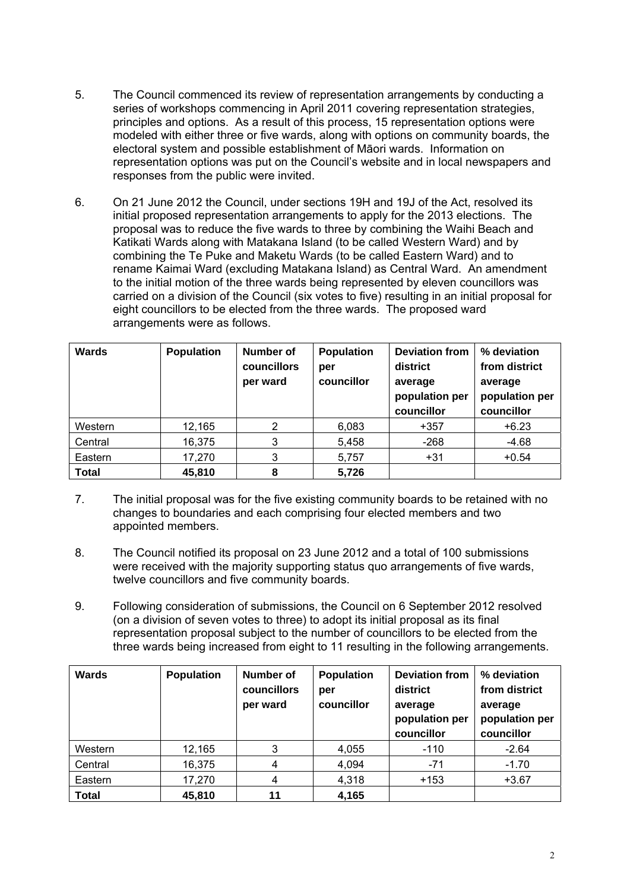- 5. The Council commenced its review of representation arrangements by conducting a series of workshops commencing in April 2011 covering representation strategies, principles and options. As a result of this process, 15 representation options were modeled with either three or five wards, along with options on community boards, the electoral system and possible establishment of Māori wards. Information on representation options was put on the Council's website and in local newspapers and responses from the public were invited.
- 6. On 21 June 2012 the Council, under sections 19H and 19J of the Act, resolved its initial proposed representation arrangements to apply for the 2013 elections. The proposal was to reduce the five wards to three by combining the Waihi Beach and Katikati Wards along with Matakana Island (to be called Western Ward) and by combining the Te Puke and Maketu Wards (to be called Eastern Ward) and to rename Kaimai Ward (excluding Matakana Island) as Central Ward. An amendment to the initial motion of the three wards being represented by eleven councillors was carried on a division of the Council (six votes to five) resulting in an initial proposal for eight councillors to be elected from the three wards. The proposed ward arrangements were as follows.

| Wards        | <b>Population</b> | Number of<br>councillors<br>per ward | <b>Population</b><br>per<br>councillor | <b>Deviation from</b><br>district<br>average<br>population per<br>councillor | % deviation<br>from district<br>average<br>population per<br>councillor |
|--------------|-------------------|--------------------------------------|----------------------------------------|------------------------------------------------------------------------------|-------------------------------------------------------------------------|
| Western      | 12,165            | 2                                    | 6,083                                  | $+357$                                                                       | $+6.23$                                                                 |
| Central      | 16,375            | 3                                    | 5,458                                  | $-268$                                                                       | $-4.68$                                                                 |
| Eastern      | 17,270            | 3                                    | 5,757                                  | $+31$                                                                        | $+0.54$                                                                 |
| <b>Total</b> | 45.810            | 8                                    | 5,726                                  |                                                                              |                                                                         |

- 7. The initial proposal was for the five existing community boards to be retained with no changes to boundaries and each comprising four elected members and two appointed members.
- 8. The Council notified its proposal on 23 June 2012 and a total of 100 submissions were received with the majority supporting status quo arrangements of five wards, twelve councillors and five community boards.
- 9. Following consideration of submissions, the Council on 6 September 2012 resolved (on a division of seven votes to three) to adopt its initial proposal as its final representation proposal subject to the number of councillors to be elected from the three wards being increased from eight to 11 resulting in the following arrangements.

| Wards        | <b>Population</b> | Number of<br><b>councillors</b><br>per ward | <b>Population</b><br>per<br>councillor | <b>Deviation from</b><br>district<br>average<br>population per<br>councillor | % deviation<br>from district<br>average<br>population per<br>councillor |
|--------------|-------------------|---------------------------------------------|----------------------------------------|------------------------------------------------------------------------------|-------------------------------------------------------------------------|
| Western      | 12,165            | 3                                           | 4,055                                  | $-110$                                                                       | $-2.64$                                                                 |
| Central      | 16,375            | 4                                           | 4,094                                  | $-71$                                                                        | $-1.70$                                                                 |
| Eastern      | 17,270            |                                             | 4,318                                  | $+153$                                                                       | $+3.67$                                                                 |
| <b>Total</b> | 45,810            | 11                                          | 4,165                                  |                                                                              |                                                                         |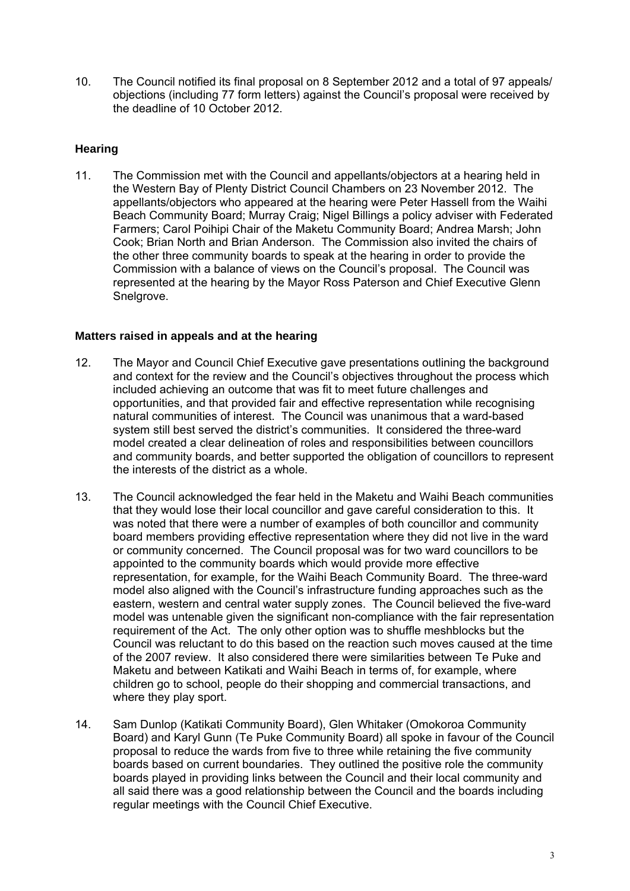10. The Council notified its final proposal on 8 September 2012 and a total of 97 appeals/ objections (including 77 form letters) against the Council's proposal were received by the deadline of 10 October 2012.

## **Hearing**

11. The Commission met with the Council and appellants/objectors at a hearing held in the Western Bay of Plenty District Council Chambers on 23 November 2012. The appellants/objectors who appeared at the hearing were Peter Hassell from the Waihi Beach Community Board; Murray Craig; Nigel Billings a policy adviser with Federated Farmers; Carol Poihipi Chair of the Maketu Community Board; Andrea Marsh; John Cook; Brian North and Brian Anderson. The Commission also invited the chairs of the other three community boards to speak at the hearing in order to provide the Commission with a balance of views on the Council's proposal. The Council was represented at the hearing by the Mayor Ross Paterson and Chief Executive Glenn Snelgrove.

### **Matters raised in appeals and at the hearing**

- 12. The Mayor and Council Chief Executive gave presentations outlining the background and context for the review and the Council's objectives throughout the process which included achieving an outcome that was fit to meet future challenges and opportunities, and that provided fair and effective representation while recognising natural communities of interest. The Council was unanimous that a ward-based system still best served the district's communities. It considered the three-ward model created a clear delineation of roles and responsibilities between councillors and community boards, and better supported the obligation of councillors to represent the interests of the district as a whole.
- 13. The Council acknowledged the fear held in the Maketu and Waihi Beach communities that they would lose their local councillor and gave careful consideration to this. It was noted that there were a number of examples of both councillor and community board members providing effective representation where they did not live in the ward or community concerned. The Council proposal was for two ward councillors to be appointed to the community boards which would provide more effective representation, for example, for the Waihi Beach Community Board. The three-ward model also aligned with the Council's infrastructure funding approaches such as the eastern, western and central water supply zones. The Council believed the five-ward model was untenable given the significant non-compliance with the fair representation requirement of the Act. The only other option was to shuffle meshblocks but the Council was reluctant to do this based on the reaction such moves caused at the time of the 2007 review. It also considered there were similarities between Te Puke and Maketu and between Katikati and Waihi Beach in terms of, for example, where children go to school, people do their shopping and commercial transactions, and where they play sport.
- 14. Sam Dunlop (Katikati Community Board), Glen Whitaker (Omokoroa Community Board) and Karyl Gunn (Te Puke Community Board) all spoke in favour of the Council proposal to reduce the wards from five to three while retaining the five community boards based on current boundaries. They outlined the positive role the community boards played in providing links between the Council and their local community and all said there was a good relationship between the Council and the boards including regular meetings with the Council Chief Executive.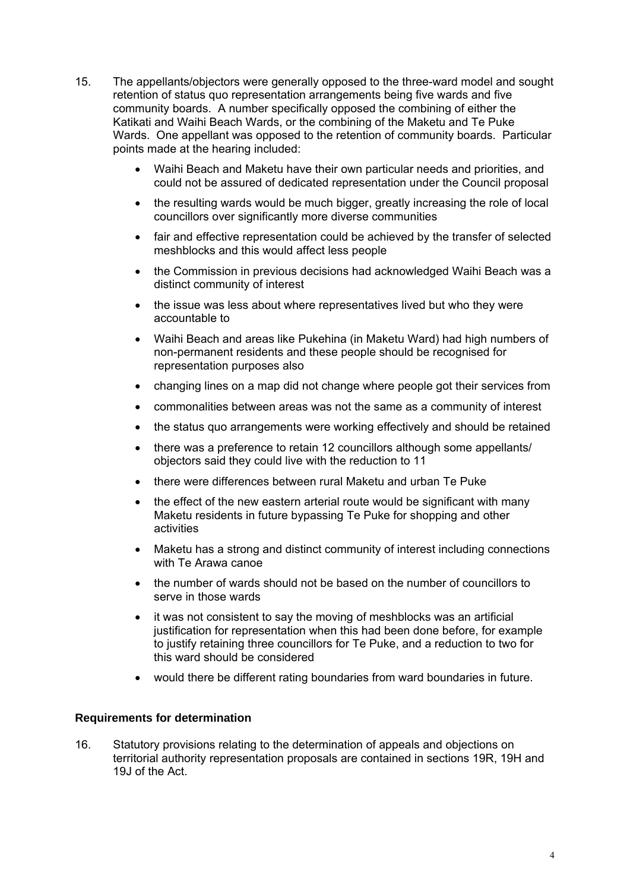- 15. The appellants/objectors were generally opposed to the three-ward model and sought retention of status quo representation arrangements being five wards and five community boards. A number specifically opposed the combining of either the Katikati and Waihi Beach Wards, or the combining of the Maketu and Te Puke Wards. One appellant was opposed to the retention of community boards. Particular points made at the hearing included:
	- Waihi Beach and Maketu have their own particular needs and priorities, and could not be assured of dedicated representation under the Council proposal
	- the resulting wards would be much bigger, greatly increasing the role of local councillors over significantly more diverse communities
	- fair and effective representation could be achieved by the transfer of selected meshblocks and this would affect less people
	- the Commission in previous decisions had acknowledged Waihi Beach was a distinct community of interest
	- the issue was less about where representatives lived but who they were accountable to
	- Waihi Beach and areas like Pukehina (in Maketu Ward) had high numbers of non-permanent residents and these people should be recognised for representation purposes also
	- changing lines on a map did not change where people got their services from
	- commonalities between areas was not the same as a community of interest
	- the status quo arrangements were working effectively and should be retained
	- there was a preference to retain 12 councillors although some appellants/ objectors said they could live with the reduction to 11
	- there were differences between rural Maketu and urban Te Puke
	- the effect of the new eastern arterial route would be significant with many Maketu residents in future bypassing Te Puke for shopping and other activities
	- Maketu has a strong and distinct community of interest including connections with Te Arawa canoe
	- the number of wards should not be based on the number of councillors to serve in those wards
	- it was not consistent to say the moving of meshblocks was an artificial justification for representation when this had been done before, for example to justify retaining three councillors for Te Puke, and a reduction to two for this ward should be considered
	- would there be different rating boundaries from ward boundaries in future.

### **Requirements for determination**

16. Statutory provisions relating to the determination of appeals and objections on territorial authority representation proposals are contained in sections 19R, 19H and 19J of the Act.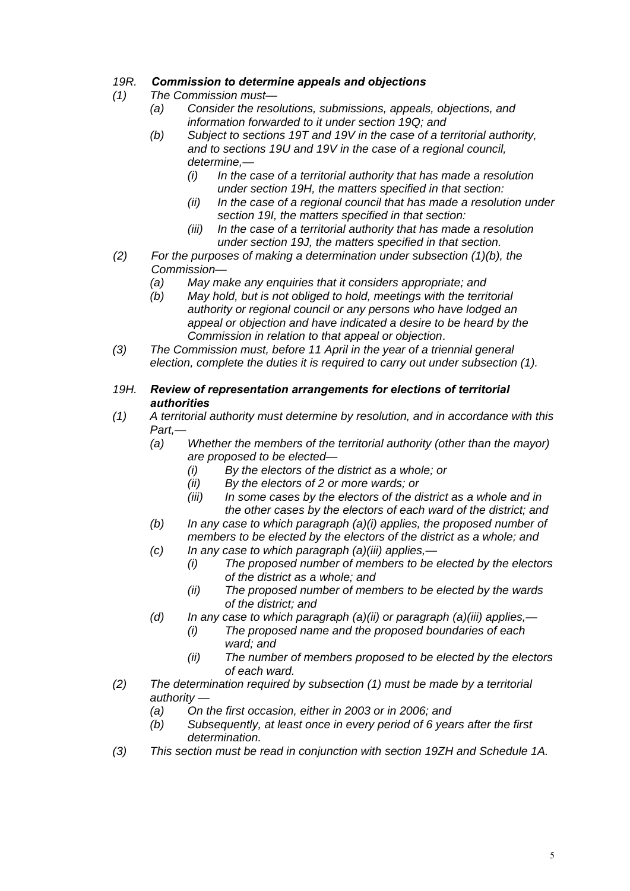## *19R. Commission to determine appeals and objections*

- *(1) The Commission must—* 
	- *(a) Consider the resolutions, submissions, appeals, objections, and information forwarded to it under section 19Q; and*
	- *(b) Subject to sections 19T and 19V in the case of a territorial authority, and to sections 19U and 19V in the case of a regional council, determine,—* 
		- *(i) In the case of a territorial authority that has made a resolution under section 19H, the matters specified in that section:*
		- *(ii) In the case of a regional council that has made a resolution under section 19I, the matters specified in that section:*
		- *(iii) In the case of a territorial authority that has made a resolution under section 19J, the matters specified in that section.*
- *(2) For the purposes of making a determination under subsection (1)(b), the Commission—* 
	- *(a) May make any enquiries that it considers appropriate; and*
	- *(b) May hold, but is not obliged to hold, meetings with the territorial authority or regional council or any persons who have lodged an appeal or objection and have indicated a desire to be heard by the Commission in relation to that appeal or objection*.
- *(3) The Commission must, before 11 April in the year of a triennial general election, complete the duties it is required to carry out under subsection (1).*
- *19H. Review of representation arrangements for elections of territorial authorities*
- *(1) A territorial authority must determine by resolution, and in accordance with this Part,—* 
	- *(a) Whether the members of the territorial authority (other than the mayor) are proposed to be elected—* 
		- *(i) By the electors of the district as a whole; or*
		- *(ii) By the electors of 2 or more wards; or*
		- *(iii) In some cases by the electors of the district as a whole and in the other cases by the electors of each ward of the district; and*
	- *(b) In any case to which paragraph (a)(i) applies, the proposed number of members to be elected by the electors of the district as a whole; and*
	- *(c) In any case to which paragraph (a)(iii) applies,—* 
		- *(i) The proposed number of members to be elected by the electors of the district as a whole; and*
		- *(ii) The proposed number of members to be elected by the wards of the district; and*
	- *(d) In any case to which paragraph (a)(ii) or paragraph (a)(iii) applies,—* 
		- *(i) The proposed name and the proposed boundaries of each ward; and*
		- *(ii) The number of members proposed to be elected by the electors of each ward.*
- *(2) The determination required by subsection (1) must be made by a territorial authority —* 
	- *(a) On the first occasion, either in 2003 or in 2006; and*
	- *(b) Subsequently, at least once in every period of 6 years after the first determination.*
- *(3) This section must be read in conjunction with section 19ZH and Schedule 1A.*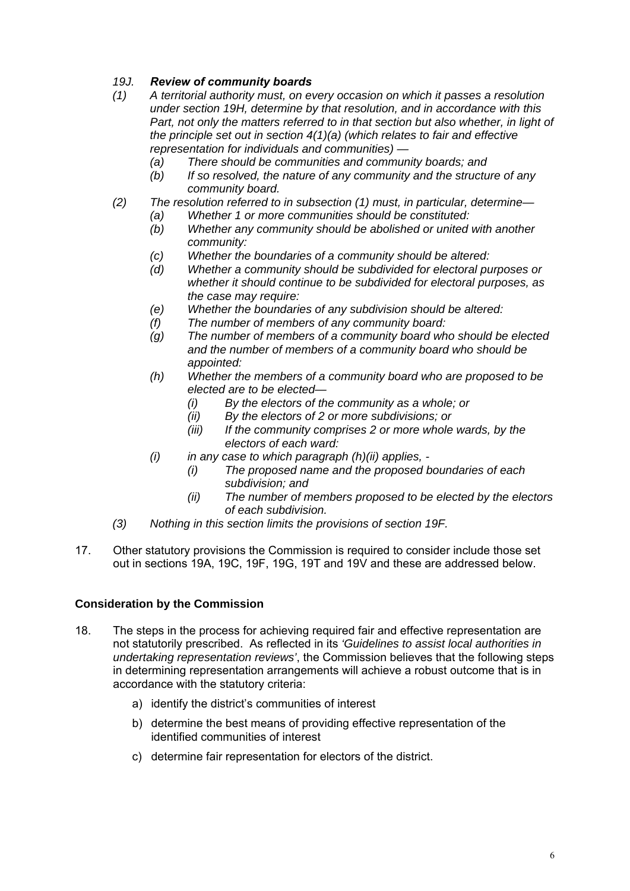## *19J. Review of community boards*

- *(1) A territorial authority must, on every occasion on which it passes a resolution under section 19H, determine by that resolution, and in accordance with this*  Part, not only the matters referred to in that section but also whether, in light of *the principle set out in section 4(1)(a) (which relates to fair and effective representation for individuals and communities) —* 
	- *(a) There should be communities and community boards; and*
	- *(b) If so resolved, the nature of any community and the structure of any community board.*
- *(2) The resolution referred to in subsection (1) must, in particular, determine—* 
	- *(a) Whether 1 or more communities should be constituted:* 
		- *(b) Whether any community should be abolished or united with another community:*
		- *(c) Whether the boundaries of a community should be altered:*
		- *(d) Whether a community should be subdivided for electoral purposes or whether it should continue to be subdivided for electoral purposes, as the case may require:*
		- *(e) Whether the boundaries of any subdivision should be altered:*
		- *(f) The number of members of any community board:*
		- *(g) The number of members of a community board who should be elected and the number of members of a community board who should be appointed:*
		- *(h) Whether the members of a community board who are proposed to be elected are to be elected—* 
			- *(i) By the electors of the community as a whole; or*
			- *(ii) By the electors of 2 or more subdivisions; or*
			- *(iii) If the community comprises 2 or more whole wards, by the electors of each ward:*
		- *(i) in any case to which paragraph (h)(ii) applies,* 
			- *(i) The proposed name and the proposed boundaries of each subdivision; and*
			- *(ii) The number of members proposed to be elected by the electors of each subdivision.*
- *(3) Nothing in this section limits the provisions of section 19F.*
- 17. Other statutory provisions the Commission is required to consider include those set out in sections 19A, 19C, 19F, 19G, 19T and 19V and these are addressed below.

### **Consideration by the Commission**

- 18. The steps in the process for achieving required fair and effective representation are not statutorily prescribed. As reflected in its *'Guidelines to assist local authorities in undertaking representation reviews'*, the Commission believes that the following steps in determining representation arrangements will achieve a robust outcome that is in accordance with the statutory criteria:
	- a) identify the district's communities of interest
	- b) determine the best means of providing effective representation of the identified communities of interest
	- c) determine fair representation for electors of the district.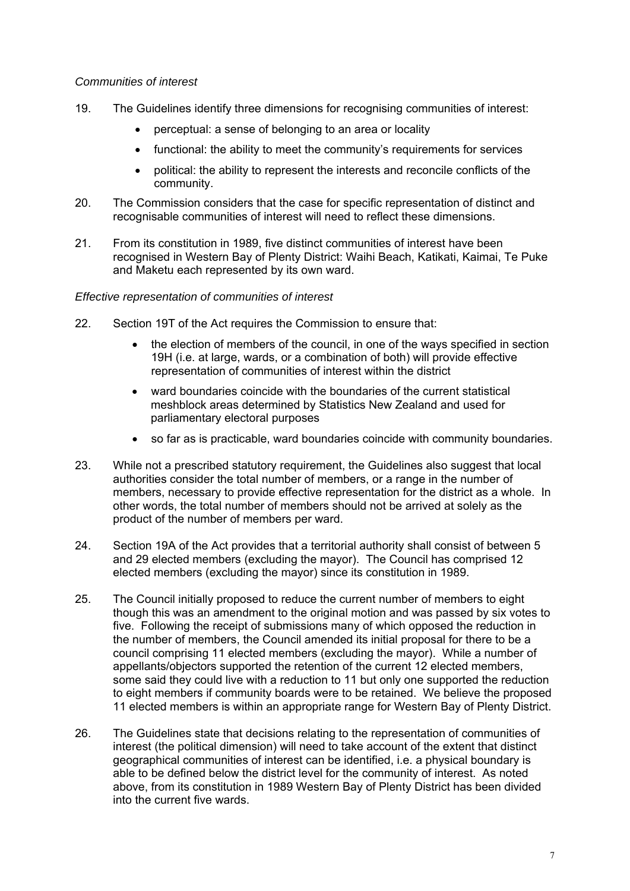#### *Communities of interest*

- 19. The Guidelines identify three dimensions for recognising communities of interest:
	- perceptual: a sense of belonging to an area or locality
	- functional: the ability to meet the community's requirements for services
	- political: the ability to represent the interests and reconcile conflicts of the community.
- 20. The Commission considers that the case for specific representation of distinct and recognisable communities of interest will need to reflect these dimensions.
- 21. From its constitution in 1989, five distinct communities of interest have been recognised in Western Bay of Plenty District: Waihi Beach, Katikati, Kaimai, Te Puke and Maketu each represented by its own ward.

#### *Effective representation of communities of interest*

- 22. Section 19T of the Act requires the Commission to ensure that:
	- the election of members of the council, in one of the ways specified in section 19H (i.e. at large, wards, or a combination of both) will provide effective representation of communities of interest within the district
	- ward boundaries coincide with the boundaries of the current statistical meshblock areas determined by Statistics New Zealand and used for parliamentary electoral purposes
	- so far as is practicable, ward boundaries coincide with community boundaries.
- 23. While not a prescribed statutory requirement, the Guidelines also suggest that local authorities consider the total number of members, or a range in the number of members, necessary to provide effective representation for the district as a whole. In other words, the total number of members should not be arrived at solely as the product of the number of members per ward.
- 24. Section 19A of the Act provides that a territorial authority shall consist of between 5 and 29 elected members (excluding the mayor). The Council has comprised 12 elected members (excluding the mayor) since its constitution in 1989.
- 25. The Council initially proposed to reduce the current number of members to eight though this was an amendment to the original motion and was passed by six votes to five. Following the receipt of submissions many of which opposed the reduction in the number of members, the Council amended its initial proposal for there to be a council comprising 11 elected members (excluding the mayor). While a number of appellants/objectors supported the retention of the current 12 elected members, some said they could live with a reduction to 11 but only one supported the reduction to eight members if community boards were to be retained. We believe the proposed 11 elected members is within an appropriate range for Western Bay of Plenty District.
- 26. The Guidelines state that decisions relating to the representation of communities of interest (the political dimension) will need to take account of the extent that distinct geographical communities of interest can be identified, i.e. a physical boundary is able to be defined below the district level for the community of interest. As noted above, from its constitution in 1989 Western Bay of Plenty District has been divided into the current five wards.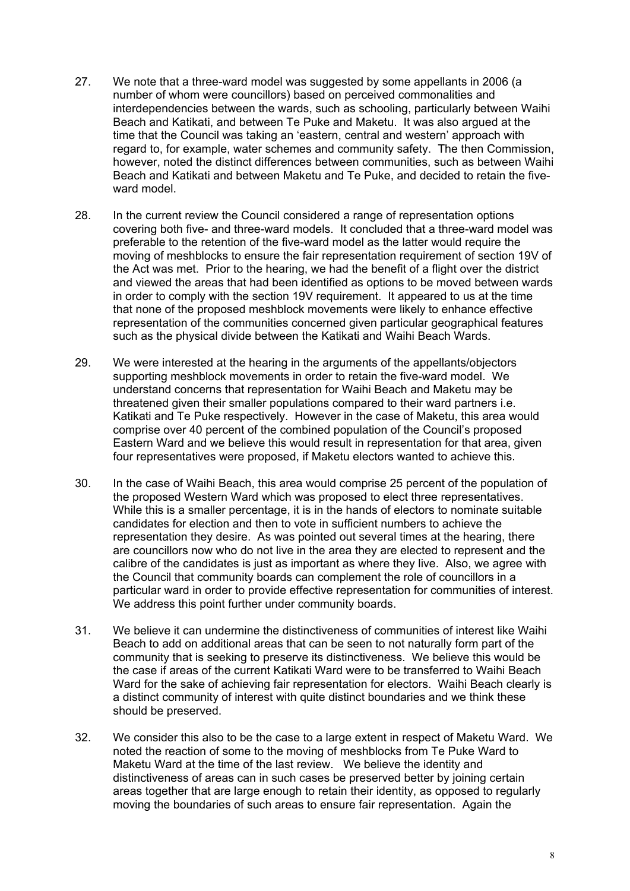- 27. We note that a three-ward model was suggested by some appellants in 2006 (a number of whom were councillors) based on perceived commonalities and interdependencies between the wards, such as schooling, particularly between Waihi Beach and Katikati, and between Te Puke and Maketu. It was also argued at the time that the Council was taking an 'eastern, central and western' approach with regard to, for example, water schemes and community safety. The then Commission, however, noted the distinct differences between communities, such as between Waihi Beach and Katikati and between Maketu and Te Puke, and decided to retain the fiveward model.
- 28. In the current review the Council considered a range of representation options covering both five- and three-ward models. It concluded that a three-ward model was preferable to the retention of the five-ward model as the latter would require the moving of meshblocks to ensure the fair representation requirement of section 19V of the Act was met. Prior to the hearing, we had the benefit of a flight over the district and viewed the areas that had been identified as options to be moved between wards in order to comply with the section 19V requirement. It appeared to us at the time that none of the proposed meshblock movements were likely to enhance effective representation of the communities concerned given particular geographical features such as the physical divide between the Katikati and Waihi Beach Wards.
- 29. We were interested at the hearing in the arguments of the appellants/objectors supporting meshblock movements in order to retain the five-ward model. We understand concerns that representation for Waihi Beach and Maketu may be threatened given their smaller populations compared to their ward partners i.e. Katikati and Te Puke respectively. However in the case of Maketu, this area would comprise over 40 percent of the combined population of the Council's proposed Eastern Ward and we believe this would result in representation for that area, given four representatives were proposed, if Maketu electors wanted to achieve this.
- 30. In the case of Waihi Beach, this area would comprise 25 percent of the population of the proposed Western Ward which was proposed to elect three representatives. While this is a smaller percentage, it is in the hands of electors to nominate suitable candidates for election and then to vote in sufficient numbers to achieve the representation they desire. As was pointed out several times at the hearing, there are councillors now who do not live in the area they are elected to represent and the calibre of the candidates is just as important as where they live. Also, we agree with the Council that community boards can complement the role of councillors in a particular ward in order to provide effective representation for communities of interest. We address this point further under community boards.
- 31. We believe it can undermine the distinctiveness of communities of interest like Waihi Beach to add on additional areas that can be seen to not naturally form part of the community that is seeking to preserve its distinctiveness. We believe this would be the case if areas of the current Katikati Ward were to be transferred to Waihi Beach Ward for the sake of achieving fair representation for electors. Waihi Beach clearly is a distinct community of interest with quite distinct boundaries and we think these should be preserved.
- 32. We consider this also to be the case to a large extent in respect of Maketu Ward. We noted the reaction of some to the moving of meshblocks from Te Puke Ward to Maketu Ward at the time of the last review. We believe the identity and distinctiveness of areas can in such cases be preserved better by joining certain areas together that are large enough to retain their identity, as opposed to regularly moving the boundaries of such areas to ensure fair representation. Again the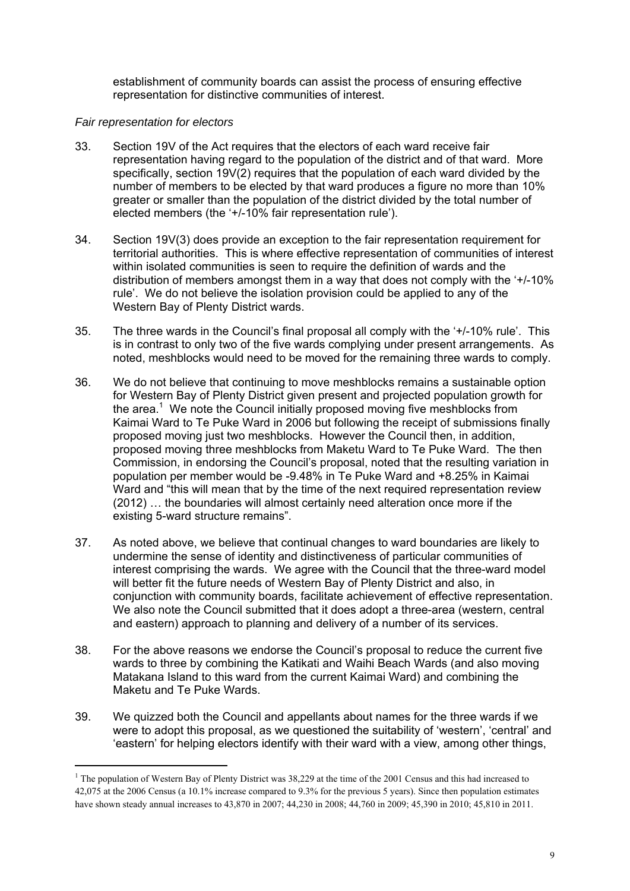establishment of community boards can assist the process of ensuring effective representation for distinctive communities of interest.

### *Fair representation for electors*

1

- 33. Section 19V of the Act requires that the electors of each ward receive fair representation having regard to the population of the district and of that ward. More specifically, section 19V(2) requires that the population of each ward divided by the number of members to be elected by that ward produces a figure no more than 10% greater or smaller than the population of the district divided by the total number of elected members (the '+/-10% fair representation rule').
- 34. Section 19V(3) does provide an exception to the fair representation requirement for territorial authorities. This is where effective representation of communities of interest within isolated communities is seen to require the definition of wards and the distribution of members amongst them in a way that does not comply with the '+/-10% rule'. We do not believe the isolation provision could be applied to any of the Western Bay of Plenty District wards.
- 35. The three wards in the Council's final proposal all comply with the '+/-10% rule'. This is in contrast to only two of the five wards complying under present arrangements. As noted, meshblocks would need to be moved for the remaining three wards to comply.
- 36. We do not believe that continuing to move meshblocks remains a sustainable option for Western Bay of Plenty District given present and projected population growth for the area.<sup>1</sup> We note the Council initially proposed moving five meshblocks from Kaimai Ward to Te Puke Ward in 2006 but following the receipt of submissions finally proposed moving just two meshblocks. However the Council then, in addition, proposed moving three meshblocks from Maketu Ward to Te Puke Ward. The then Commission, in endorsing the Council's proposal, noted that the resulting variation in population per member would be -9.48% in Te Puke Ward and +8.25% in Kaimai Ward and "this will mean that by the time of the next required representation review (2012) … the boundaries will almost certainly need alteration once more if the existing 5-ward structure remains".
- 37. As noted above, we believe that continual changes to ward boundaries are likely to undermine the sense of identity and distinctiveness of particular communities of interest comprising the wards. We agree with the Council that the three-ward model will better fit the future needs of Western Bay of Plenty District and also, in conjunction with community boards, facilitate achievement of effective representation. We also note the Council submitted that it does adopt a three-area (western, central and eastern) approach to planning and delivery of a number of its services.
- 38. For the above reasons we endorse the Council's proposal to reduce the current five wards to three by combining the Katikati and Waihi Beach Wards (and also moving Matakana Island to this ward from the current Kaimai Ward) and combining the Maketu and Te Puke Wards.
- 39. We quizzed both the Council and appellants about names for the three wards if we were to adopt this proposal, as we questioned the suitability of 'western', 'central' and 'eastern' for helping electors identify with their ward with a view, among other things,

<sup>&</sup>lt;sup>1</sup> The population of Western Bay of Plenty District was 38,229 at the time of the 2001 Census and this had increased to 42,075 at the 2006 Census (a 10.1% increase compared to 9.3% for the previous 5 years). Since then population estimates have shown steady annual increases to 43,870 in 2007; 44,230 in 2008; 44,760 in 2009; 45,390 in 2010; 45,810 in 2011.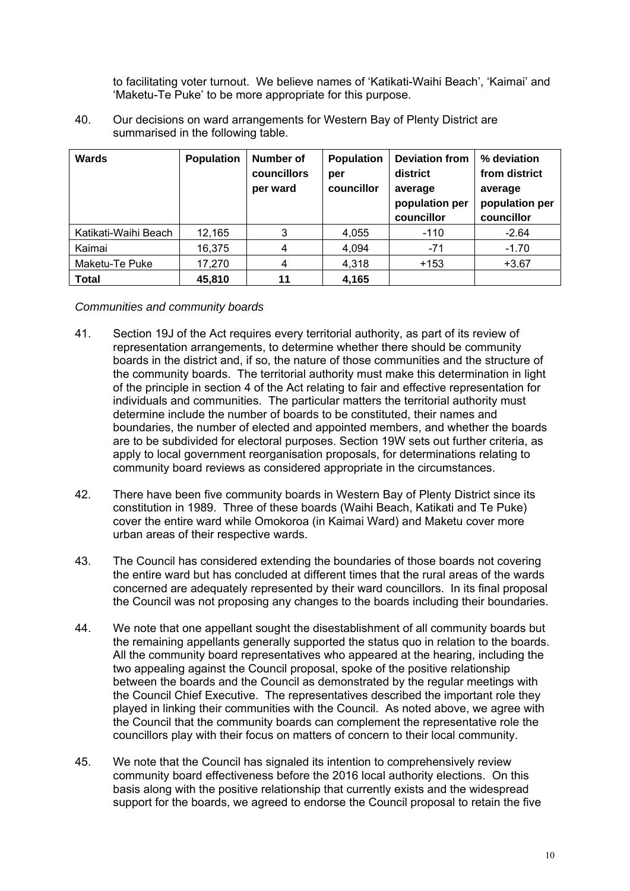to facilitating voter turnout. We believe names of 'Katikati-Waihi Beach', 'Kaimai' and 'Maketu-Te Puke' to be more appropriate for this purpose.

40. Our decisions on ward arrangements for Western Bay of Plenty District are summarised in the following table.

| Wards                | <b>Population</b> | Number of<br>councillors<br>per ward | Population<br>per<br>councillor | <b>Deviation from</b><br>district<br>average<br>population per<br>councillor | % deviation<br>from district<br>average<br>population per<br>councillor |
|----------------------|-------------------|--------------------------------------|---------------------------------|------------------------------------------------------------------------------|-------------------------------------------------------------------------|
| Katikati-Waihi Beach | 12,165            | 3                                    | 4,055                           | $-110$                                                                       | $-2.64$                                                                 |
| Kaimai               | 16,375            | 4                                    | 4,094                           | $-71$                                                                        | $-1.70$                                                                 |
| Maketu-Te Puke       | 17,270            | 4                                    | 4,318                           | $+153$                                                                       | $+3.67$                                                                 |
| <b>Total</b>         | 45,810            | 11                                   | 4,165                           |                                                                              |                                                                         |

*Communities and community boards* 

- 41. Section 19J of the Act requires every territorial authority, as part of its review of representation arrangements, to determine whether there should be community boards in the district and, if so, the nature of those communities and the structure of the community boards. The territorial authority must make this determination in light of the principle in section 4 of the Act relating to fair and effective representation for individuals and communities. The particular matters the territorial authority must determine include the number of boards to be constituted, their names and boundaries, the number of elected and appointed members, and whether the boards are to be subdivided for electoral purposes. Section 19W sets out further criteria, as apply to local government reorganisation proposals, for determinations relating to community board reviews as considered appropriate in the circumstances.
- 42. There have been five community boards in Western Bay of Plenty District since its constitution in 1989. Three of these boards (Waihi Beach, Katikati and Te Puke) cover the entire ward while Omokoroa (in Kaimai Ward) and Maketu cover more urban areas of their respective wards.
- 43. The Council has considered extending the boundaries of those boards not covering the entire ward but has concluded at different times that the rural areas of the wards concerned are adequately represented by their ward councillors. In its final proposal the Council was not proposing any changes to the boards including their boundaries.
- 44. We note that one appellant sought the disestablishment of all community boards but the remaining appellants generally supported the status quo in relation to the boards. All the community board representatives who appeared at the hearing, including the two appealing against the Council proposal, spoke of the positive relationship between the boards and the Council as demonstrated by the regular meetings with the Council Chief Executive. The representatives described the important role they played in linking their communities with the Council. As noted above, we agree with the Council that the community boards can complement the representative role the councillors play with their focus on matters of concern to their local community.
- 45. We note that the Council has signaled its intention to comprehensively review community board effectiveness before the 2016 local authority elections. On this basis along with the positive relationship that currently exists and the widespread support for the boards, we agreed to endorse the Council proposal to retain the five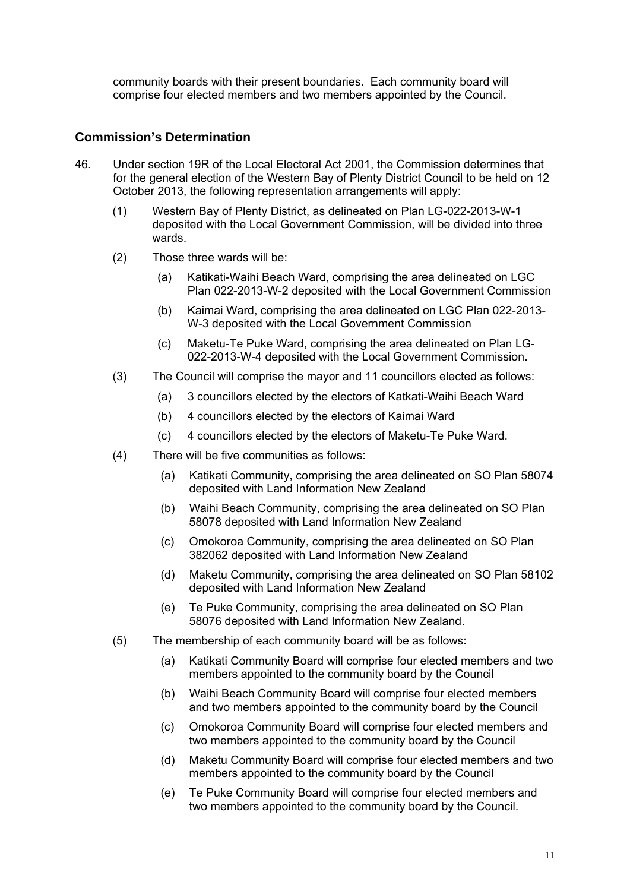community boards with their present boundaries. Each community board will comprise four elected members and two members appointed by the Council.

## **Commission's Determination**

- 46. Under section 19R of the Local Electoral Act 2001, the Commission determines that for the general election of the Western Bay of Plenty District Council to be held on 12 October 2013, the following representation arrangements will apply:
	- (1) Western Bay of Plenty District, as delineated on Plan LG-022-2013-W-1 deposited with the Local Government Commission, will be divided into three wards.
	- (2) Those three wards will be:
		- (a) Katikati-Waihi Beach Ward, comprising the area delineated on LGC Plan 022-2013-W-2 deposited with the Local Government Commission
		- (b) Kaimai Ward, comprising the area delineated on LGC Plan 022-2013- W-3 deposited with the Local Government Commission
		- (c) Maketu-Te Puke Ward, comprising the area delineated on Plan LG-022-2013-W-4 deposited with the Local Government Commission.
	- (3) The Council will comprise the mayor and 11 councillors elected as follows:
		- (a) 3 councillors elected by the electors of Katkati-Waihi Beach Ward
		- (b) 4 councillors elected by the electors of Kaimai Ward
		- (c) 4 councillors elected by the electors of Maketu-Te Puke Ward.
	- (4) There will be five communities as follows:
		- (a) Katikati Community, comprising the area delineated on SO Plan 58074 deposited with Land Information New Zealand
		- (b) Waihi Beach Community, comprising the area delineated on SO Plan 58078 deposited with Land Information New Zealand
		- (c) Omokoroa Community, comprising the area delineated on SO Plan 382062 deposited with Land Information New Zealand
		- (d) Maketu Community, comprising the area delineated on SO Plan 58102 deposited with Land Information New Zealand
		- (e) Te Puke Community, comprising the area delineated on SO Plan 58076 deposited with Land Information New Zealand.
	- (5) The membership of each community board will be as follows:
		- (a) Katikati Community Board will comprise four elected members and two members appointed to the community board by the Council
		- (b) Waihi Beach Community Board will comprise four elected members and two members appointed to the community board by the Council
		- (c) Omokoroa Community Board will comprise four elected members and two members appointed to the community board by the Council
		- (d) Maketu Community Board will comprise four elected members and two members appointed to the community board by the Council
		- (e) Te Puke Community Board will comprise four elected members and two members appointed to the community board by the Council.